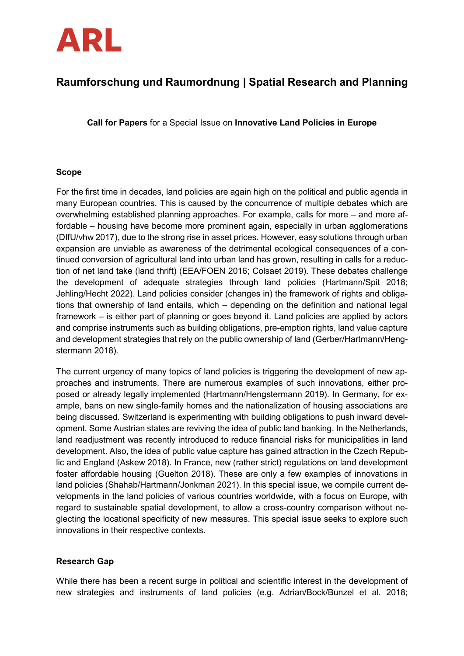

# **Raumforschung und Raumordnung | Spatial Research and Planning**

**Call for Papers** for a Special Issue on **Innovative Land Policies in Europe**

## **Scope**

For the first time in decades, land policies are again high on the political and public agenda in many European countries. This is caused by the concurrence of multiple debates which are overwhelming established planning approaches. For example, calls for more – and more affordable – housing have become more prominent again, especially in urban agglomerations (DIfU/vhw 2017), due to the strong rise in asset prices. However, easy solutions through urban expansion are unviable as awareness of the detrimental ecological consequences of a continued conversion of agricultural land into urban land has grown, resulting in calls for a reduction of net land take (land thrift) (EEA/FOEN 2016; Colsaet 2019). These debates challenge the development of adequate strategies through land policies (Hartmann/Spit 2018; Jehling/Hecht 2022). Land policies consider (changes in) the framework of rights and obligations that ownership of land entails, which – depending on the definition and national legal framework – is either part of planning or goes beyond it. Land policies are applied by actors and comprise instruments such as building obligations, pre-emption rights, land value capture and development strategies that rely on the public ownership of land (Gerber/Hartmann/Hengstermann 2018).

The current urgency of many topics of land policies is triggering the development of new approaches and instruments. There are numerous examples of such innovations, either proposed or already legally implemented (Hartmann/Hengstermann 2019). In Germany, for example, bans on new single-family homes and the nationalization of housing associations are being discussed. Switzerland is experimenting with building obligations to push inward development. Some Austrian states are reviving the idea of public land banking. In the Netherlands, land readjustment was recently introduced to reduce financial risks for municipalities in land development. Also, the idea of public value capture has gained attraction in the Czech Republic and England (Askew 2018). In France, new (rather strict) regulations on land development foster affordable housing (Guelton 2018). These are only a few examples of innovations in land policies (Shahab/Hartmann/Jonkman 2021). In this special issue, we compile current developments in the land policies of various countries worldwide, with a focus on Europe, with regard to sustainable spatial development, to allow a cross-country comparison without neglecting the locational specificity of new measures. This special issue seeks to explore such innovations in their respective contexts.

## **Research Gap**

While there has been a recent surge in political and scientific interest in the development of new strategies and instruments of land policies (e.g. Adrian/Bock/Bunzel et al. 2018;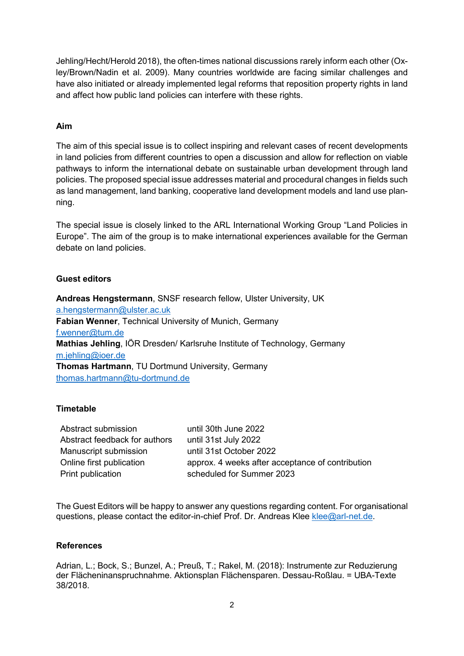Jehling/Hecht/Herold 2018), the often-times national discussions rarely inform each other (Oxley/Brown/Nadin et al. 2009). Many countries worldwide are facing similar challenges and have also initiated or already implemented legal reforms that reposition property rights in land and affect how public land policies can interfere with these rights.

## **Aim**

The aim of this special issue is to collect inspiring and relevant cases of recent developments in land policies from different countries to open a discussion and allow for reflection on viable pathways to inform the international debate on sustainable urban development through land policies. The proposed special issue addresses material and procedural changes in fields such as land management, land banking, cooperative land development models and land use planning.

The special issue is closely linked to the ARL International Working Group "Land Policies in Europe". The aim of the group is to make international experiences available for the German debate on land policies.

#### **Guest editors**

**Andreas Hengstermann**, SNSF research fellow, Ulster University, UK [a.hengstermann@ulster.ac.uk](mailto:a.hengstermann@ulster.ac.uk) **Fabian Wenner**, Technical University of Munich, Germany [f.wenner@tum.de](mailto:f.wenner@tum.de) **Mathias Jehling**, IÖR Dresden/ Karlsruhe Institute of Technology, Germany [m.jehling@ioer.de](mailto:m.jehling@ioer.de) **Thomas Hartmann**, TU Dortmund University, Germany [thomas.hartmann@tu-dortmund.de](mailto:thomas.hartmann@tu-dortmund.de)

#### **Timetable**

Abstract submission until 30th June 2022 Abstract feedback for authors until 31st July 2022 Manuscript submission until 31st October 2022 Online first publication approx. 4 weeks after acceptance of contribution Print publication scheduled for Summer 2023

The Guest Editors will be happy to answer any questions regarding content. For organisational questions, please contact the editor-in-chief Prof. Dr. Andreas Klee [klee@arl-net.de.](mailto:klee@arl-net.de)

#### **References**

Adrian, L.; Bock, S.; Bunzel, A.; Preuß, T.; Rakel, M. (2018): Instrumente zur Reduzierung der Flächeninanspruchnahme. Aktionsplan Flächensparen. Dessau-Roßlau. = UBA-Texte 38/2018.